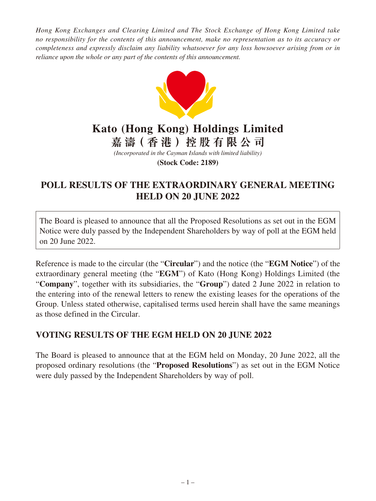*Hong Kong Exchanges and Clearing Limited and The Stock Exchange of Hong Kong Limited take no responsibility for the contents of this announcement, make no representation as to its accuracy or completeness and expressly disclaim any liability whatsoever for any loss howsoever arising from or in reliance upon the whole or any part of the contents of this announcement.*



## **Kato (Hong Kong) Holdings Limited 嘉 濤(香港)控股有限公司**

*(Incorporated in the Cayman Islands with limited liability)*

**(Stock Code: 2189)**

## **POLL RESULTS OF THE EXTRAORDINARY GENERAL MEETING HELD ON 20 JUNE 2022**

The Board is pleased to announce that all the Proposed Resolutions as set out in the EGM Notice were duly passed by the Independent Shareholders by way of poll at the EGM held on 20 June 2022.

Reference is made to the circular (the "**Circular**") and the notice (the "**EGM Notice**") of the extraordinary general meeting (the "**EGM**") of Kato (Hong Kong) Holdings Limited (the "**Company**", together with its subsidiaries, the "**Group**") dated 2 June 2022 in relation to the entering into of the renewal letters to renew the existing leases for the operations of the Group. Unless stated otherwise, capitalised terms used herein shall have the same meanings as those defined in the Circular.

## **VOTING RESULTS OF THE EGM HELD ON 20 JUNE 2022**

The Board is pleased to announce that at the EGM held on Monday, 20 June 2022, all the proposed ordinary resolutions (the "**Proposed Resolutions**") as set out in the EGM Notice were duly passed by the Independent Shareholders by way of poll.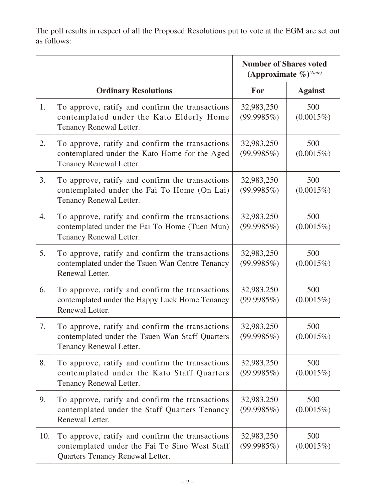The poll results in respect of all the Proposed Resolutions put to vote at the EGM are set out as follows:

|     |                                                                                                                                      | <b>Number of Shares voted</b><br>(Approximate $\%$ ) <sup>(Note)</sup> |                     |
|-----|--------------------------------------------------------------------------------------------------------------------------------------|------------------------------------------------------------------------|---------------------|
|     | <b>Ordinary Resolutions</b>                                                                                                          | <b>For</b>                                                             | <b>Against</b>      |
| 1.  | To approve, ratify and confirm the transactions<br>contemplated under the Kato Elderly Home<br>Tenancy Renewal Letter.               | 32,983,250<br>(99.9985%)                                               | 500<br>$(0.0015\%)$ |
| 2.  | To approve, ratify and confirm the transactions<br>contemplated under the Kato Home for the Aged<br>Tenancy Renewal Letter.          | 32,983,250<br>(99.9985%)                                               | 500<br>$(0.0015\%)$ |
| 3.  | To approve, ratify and confirm the transactions<br>contemplated under the Fai To Home (On Lai)<br>Tenancy Renewal Letter.            | 32,983,250<br>(99.9985%)                                               | 500<br>$(0.0015\%)$ |
| 4.  | To approve, ratify and confirm the transactions<br>contemplated under the Fai To Home (Tuen Mun)<br>Tenancy Renewal Letter.          | 32,983,250<br>(99.9985%)                                               | 500<br>$(0.0015\%)$ |
| 5.  | To approve, ratify and confirm the transactions<br>contemplated under the Tsuen Wan Centre Tenancy<br>Renewal Letter.                | 32,983,250<br>(99.9985%)                                               | 500<br>$(0.0015\%)$ |
| 6.  | To approve, ratify and confirm the transactions<br>contemplated under the Happy Luck Home Tenancy<br>Renewal Letter.                 | 32,983,250<br>(99.9985%)                                               | 500<br>$(0.0015\%)$ |
| 7.  | To approve, ratify and confirm the transactions<br>contemplated under the Tsuen Wan Staff Quarters<br>Tenancy Renewal Letter.        | 32,983,250<br>(99.9985%)                                               | 500<br>$(0.0015\%)$ |
| 8.  | To approve, ratify and confirm the transactions<br>contemplated under the Kato Staff Quarters<br>Tenancy Renewal Letter.             | 32,983,250<br>(99.9985%)                                               | 500<br>$(0.0015\%)$ |
| 9.  | To approve, ratify and confirm the transactions<br>contemplated under the Staff Quarters Tenancy<br>Renewal Letter.                  | 32,983,250<br>(99.9985%)                                               | 500<br>$(0.0015\%)$ |
| 10. | To approve, ratify and confirm the transactions<br>contemplated under the Fai To Sino West Staff<br>Quarters Tenancy Renewal Letter. | 32,983,250<br>(99.9985%)                                               | 500<br>$(0.0015\%)$ |